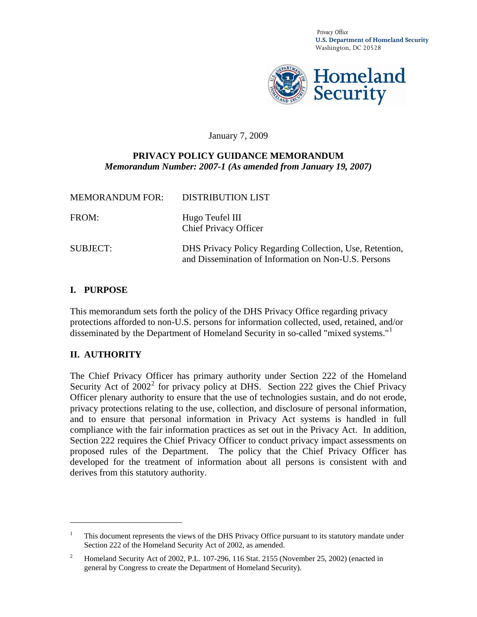*Privacy Office*  **U.S. Department of Homeland Security**  Washington, DC 20528



#### January 7, 2009

#### **PRIVACY POLICY GUIDANCE MEMORANDUM**  *Memorandum Number: 2007-1 (As amended from January 19, 2007)*

| <b>MEMORANDUM FOR:</b> | <b>DISTRIBUTION LIST</b>                                                                                         |
|------------------------|------------------------------------------------------------------------------------------------------------------|
| FROM:                  | Hugo Teufel III<br><b>Chief Privacy Officer</b>                                                                  |
| <b>SUBJECT:</b>        | DHS Privacy Policy Regarding Collection, Use, Retention,<br>and Dissemination of Information on Non-U.S. Persons |

#### **I. PURPOSE**

This memorandum sets forth the policy of the DHS Privacy Office regarding privacy protections afforded to non-U.S. persons for information collected, used, retained, and/or disseminated by the Department of Homeland Security in so-called "mixed systems."<sup>[1](#page-0-0)</sup>

#### **II. AUTHORITY**

 $\overline{a}$ 

The Chief Privacy Officer has primary authority under Section 222 of the Homeland Security Act of  $2002<sup>2</sup>$  $2002<sup>2</sup>$  for privacy policy at DHS. Section 222 gives the Chief Privacy Officer plenary authority to ensure that the use of technologies sustain, and do not erode, privacy protections relating to the use, collection, and disclosure of personal information, and to ensure that personal information in Privacy Act systems is handled in full compliance with the fair information practices as set out in the Privacy Act. In addition, Section 222 requires the Chief Privacy Officer to conduct privacy impact assessments on proposed rules of the Department. The policy that the Chief Privacy Officer has developed for the treatment of information about all persons is consistent with and derives from this statutory authority.

<span id="page-0-0"></span><sup>1</sup> This document represents the views of the DHS Privacy Office pursuant to its statutory mandate under Section 222 of the Homeland Security Act of 2002, as amended.

<span id="page-0-1"></span><sup>2</sup> Homeland Security Act of 2002, P.L. 107-296, 116 Stat. 2155 (November 25, 2002) (enacted in general by Congress to create the Department of Homeland Security).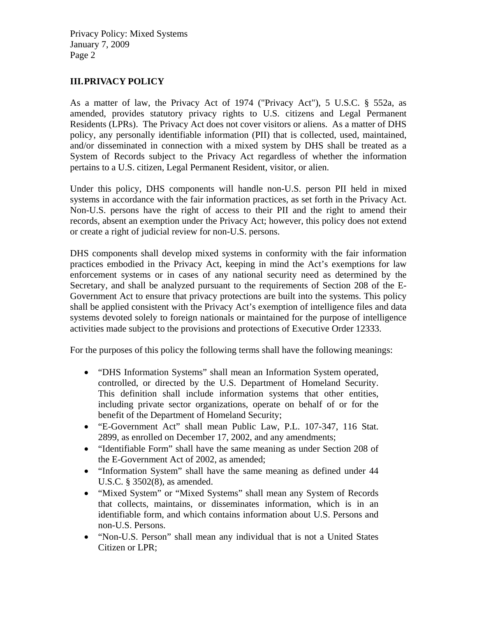## **III.PRIVACY POLICY**

As a matter of law, the Privacy Act of 1974 ("Privacy Act"), 5 U.S.C. § 552a, as amended, provides statutory privacy rights to U.S. citizens and Legal Permanent Residents (LPRs). The Privacy Act does not cover visitors or aliens. As a matter of DHS policy, any personally identifiable information (PII) that is collected, used, maintained, and/or disseminated in connection with a mixed system by DHS shall be treated as a System of Records subject to the Privacy Act regardless of whether the information pertains to a U.S. citizen, Legal Permanent Resident, visitor, or alien.

Under this policy, DHS components will handle non-U.S. person PII held in mixed systems in accordance with the fair information practices, as set forth in the Privacy Act. Non-U.S. persons have the right of access to their PII and the right to amend their records, absent an exemption under the Privacy Act; however, this policy does not extend or create a right of judicial review for non-U.S. persons.

DHS components shall develop mixed systems in conformity with the fair information practices embodied in the Privacy Act, keeping in mind the Act's exemptions for law enforcement systems or in cases of any national security need as determined by the Secretary, and shall be analyzed pursuant to the requirements of Section 208 of the E-Government Act to ensure that privacy protections are built into the systems. This policy shall be applied consistent with the Privacy Act's exemption of intelligence files and data systems devoted solely to foreign nationals or maintained for the purpose of intelligence activities made subject to the provisions and protections of Executive Order 12333.

For the purposes of this policy the following terms shall have the following meanings:

- "DHS Information Systems" shall mean an Information System operated, controlled, or directed by the U.S. Department of Homeland Security. This definition shall include information systems that other entities, including private sector organizations, operate on behalf of or for the benefit of the Department of Homeland Security;
- "E-Government Act" shall mean Public Law, P.L. 107-347, 116 Stat. 2899, as enrolled on December 17, 2002, and any amendments;
- "Identifiable Form" shall have the same meaning as under Section 208 of the E-Government Act of 2002, as amended;
- "Information System" shall have the same meaning as defined under 44 U.S.C. § 3502(8), as amended.
- "Mixed System" or "Mixed Systems" shall mean any System of Records that collects, maintains, or disseminates information, which is in an identifiable form, and which contains information about U.S. Persons and non-U.S. Persons.
- "Non-U.S. Person" shall mean any individual that is not a United States Citizen or LPR;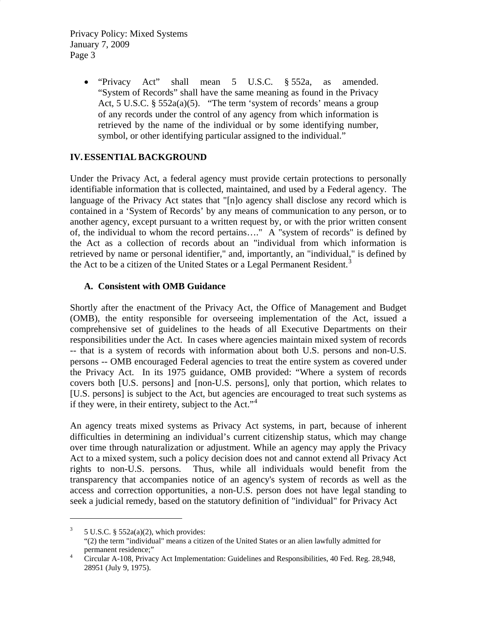• "Privacy Act" shall mean 5 U.S.C. § 552a, as amended. "System of Records" shall have the same meaning as found in the Privacy Act, 5 U.S.C. § 552a(a)(5). "The term 'system of records' means a group of any records under the control of any agency from which information is retrieved by the name of the individual or by some identifying number, symbol, or other identifying particular assigned to the individual."

## **IV.ESSENTIAL BACKGROUND**

Under the Privacy Act, a federal agency must provide certain protections to personally identifiable information that is collected, maintained, and used by a Federal agency. The language of the Privacy Act states that "[n]o agency shall disclose any record which is contained in a 'System of Records' by any means of communication to any person, or to another agency, except pursuant to a written request by, or with the prior written consent of, the individual to whom the record pertains…." A "system of records" is defined by the Act as a collection of records about an "individual from which information is retrieved by name or personal identifier," and, importantly, an "individual," is defined by the Act to be a citizen of the United States or a Legal Permanent Resident.<sup>[3](#page-2-0)</sup>

## **A. Consistent with OMB Guidance**

 $\overline{a}$ 

Shortly after the enactment of the Privacy Act, the Office of Management and Budget (OMB), the entity responsible for overseeing implementation of the Act, issued a comprehensive set of guidelines to the heads of all Executive Departments on their responsibilities under the Act. In cases where agencies maintain mixed system of records -- that is a system of records with information about both U.S. persons and non-U.S. persons -- OMB encouraged Federal agencies to treat the entire system as covered under the Privacy Act. In its 1975 guidance, OMB provided: "Where a system of records covers both [U.S. persons] and [non-U.S. persons], only that portion, which relates to [U.S. persons] is subject to the Act, but agencies are encouraged to treat such systems as if they were, in their entirety, subject to the Act." $4$ 

An agency treats mixed systems as Privacy Act systems, in part, because of inherent difficulties in determining an individual's current citizenship status, which may change over time through naturalization or adjustment. While an agency may apply the Privacy Act to a mixed system, such a policy decision does not and cannot extend all Privacy Act rights to non-U.S. persons. Thus, while all individuals would benefit from the transparency that accompanies notice of an agency's system of records as well as the access and correction opportunities, a non-U.S. person does not have legal standing to seek a judicial remedy, based on the statutory definition of "individual" for Privacy Act

<span id="page-2-0"></span><sup>3</sup> 5 U.S.C. § 552a(a)(2), which provides: "(2) the term "individual" means a citizen of the United States or an alien lawfully admitted for permanent residence;"

<span id="page-2-1"></span>Circular A-108, Privacy Act Implementation: Guidelines and Responsibilities, 40 Fed. Reg. 28,948, 28951 (July 9, 1975).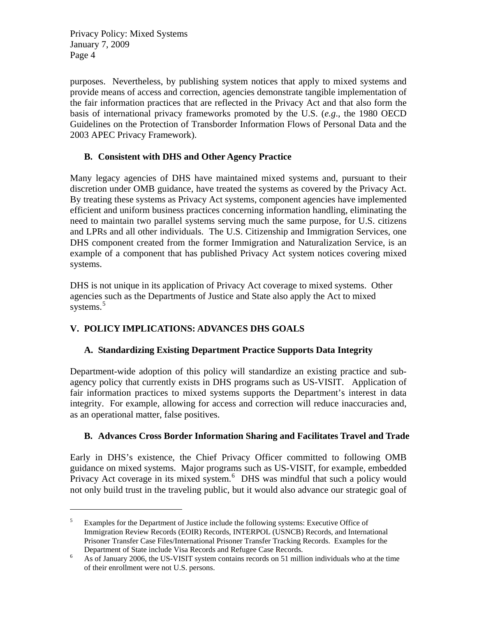$\overline{a}$ 

purposes. Nevertheless, by publishing system notices that apply to mixed systems and provide means of access and correction, agencies demonstrate tangible implementation of the fair information practices that are reflected in the Privacy Act and that also form the basis of international privacy frameworks promoted by the U.S. (*e.g*., the 1980 OECD Guidelines on the Protection of Transborder Information Flows of Personal Data and the 2003 APEC Privacy Framework).

# **B. Consistent with DHS and Other Agency Practice**

Many legacy agencies of DHS have maintained mixed systems and, pursuant to their discretion under OMB guidance, have treated the systems as covered by the Privacy Act. By treating these systems as Privacy Act systems, component agencies have implemented efficient and uniform business practices concerning information handling, eliminating the need to maintain two parallel systems serving much the same purpose, for U.S. citizens and LPRs and all other individuals. The U.S. Citizenship and Immigration Services, one DHS component created from the former Immigration and Naturalization Service, is an example of a component that has published Privacy Act system notices covering mixed systems.

DHS is not unique in its application of Privacy Act coverage to mixed systems. Other agencies such as the Departments of Justice and State also apply the Act to mixed systems.<sup>[5](#page-3-0)</sup>

# **V. POLICY IMPLICATIONS: ADVANCES DHS GOALS**

# **A. Standardizing Existing Department Practice Supports Data Integrity**

Department-wide adoption of this policy will standardize an existing practice and subagency policy that currently exists in DHS programs such as US-VISIT. Application of fair information practices to mixed systems supports the Department's interest in data integrity. For example, allowing for access and correction will reduce inaccuracies and, as an operational matter, false positives.

# **B. Advances Cross Border Information Sharing and Facilitates Travel and Trade**

Early in DHS's existence, the Chief Privacy Officer committed to following OMB guidance on mixed systems. Major programs such as US-VISIT, for example, embedded Privacy Act coverage in its mixed system.<sup>[6](#page-3-1)</sup> DHS was mindful that such a policy would not only build trust in the traveling public, but it would also advance our strategic goal of

<span id="page-3-0"></span><sup>5</sup> Examples for the Department of Justice include the following systems: Executive Office of Immigration Review Records (EOIR) Records, INTERPOL (USNCB) Records, and International Prisoner Transfer Case Files/International Prisoner Transfer Tracking Records. Examples for the Department of State include Visa Records and Refugee Case Records.<br><sup>6</sup> As of January 2006, the US VISIT system contains records on 51 milli

<span id="page-3-1"></span>As of January 2006, the US-VISIT system contains records on 51 million individuals who at the time of their enrollment were not U.S. persons.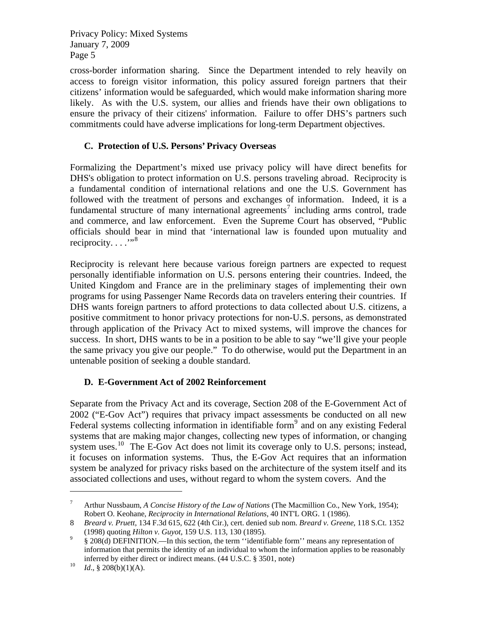cross-border information sharing. Since the Department intended to rely heavily on access to foreign visitor information, this policy assured foreign partners that their citizens' information would be safeguarded, which would make information sharing more likely. As with the U.S. system, our allies and friends have their own obligations to ensure the privacy of their citizens' information. Failure to offer DHS's partners such commitments could have adverse implications for long-term Department objectives.

## **C. Protection of U.S. Persons' Privacy Overseas**

Formalizing the Department's mixed use privacy policy will have direct benefits for DHS's obligation to protect information on U.S. persons traveling abroad. Reciprocity is a fundamental condition of international relations and one the U.S. Government has followed with the treatment of persons and exchanges of information. Indeed, it is a fundamental structure of many international agreements<sup>[7](#page-4-0)</sup> including arms control, trade and commerce, and law enforcement. Even the Supreme Court has observed, "Public officials should bear in mind that 'international law is founded upon mutuality and reciprocity.  $\dots$ <sup>"[8](#page-4-1)</sup>

Reciprocity is relevant here because various foreign partners are expected to request personally identifiable information on U.S. persons entering their countries. Indeed, the United Kingdom and France are in the preliminary stages of implementing their own programs for using Passenger Name Records data on travelers entering their countries. If DHS wants foreign partners to afford protections to data collected about U.S. citizens, a positive commitment to honor privacy protections for non-U.S. persons, as demonstrated through application of the Privacy Act to mixed systems, will improve the chances for success. In short, DHS wants to be in a position to be able to say "we'll give your people the same privacy you give our people." To do otherwise, would put the Department in an untenable position of seeking a double standard.

## **D. E-Government Act of 2002 Reinforcement**

Separate from the Privacy Act and its coverage, Section 208 of the E-Government Act of 2002 ("E-Gov Act") requires that privacy impact assessments be conducted on all new Federal systems collecting information in identifiable form<sup>[9](#page-4-2)</sup> and on any existing Federal systems that are making major changes, collecting new types of information, or changing system uses.<sup>[10](#page-4-3)</sup> The E-Gov Act does not limit its coverage only to U.S. persons; instead, it focuses on information systems. Thus, the E-Gov Act requires that an information system be analyzed for privacy risks based on the architecture of the system itself and its associated collections and uses, without regard to whom the system covers. And the

 $\overline{a}$ 

<span id="page-4-0"></span><sup>7</sup> Arthur Nussbaum, *A Concise History of the Law of Nations* (The Macmillion Co., New York, 1954); Robert O. Keohane, *Reciprocity in International Relations*, 40 INT'L ORG. 1 (1986).

<span id="page-4-1"></span><sup>8</sup> *Breard v. Pruett*, 134 F.3d 615, 622 (4th Cir.), cert. denied sub nom. *Breard v. Greene*, 118 S.Ct. 1352 (1998) quoting *Hilton v. Guyot*, 159 U.S. 113, 130 (1895). 9

<span id="page-4-2"></span> <sup>§ 208(</sup>d) DEFINITION.—In this section, the term ''identifiable form'' means any representation of information that permits the identity of an individual to whom the information applies to be reasonably inferred by either direct or indirect means. (44 U.S.C. § 3501, note) 10 *Id*., § 208(b)(1)(A).

<span id="page-4-3"></span>